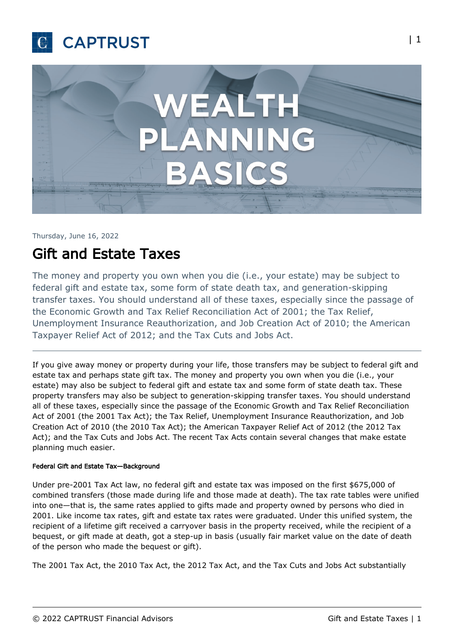



## Thursday, June 16, 2022

# Gift and Estate Taxes

The money and property you own when you die (i.e., your estate) may be subject to federal gift and estate tax, some form of state death tax, and generation-skipping transfer taxes. You should understand all of these taxes, especially since the passage of the Economic Growth and Tax Relief Reconciliation Act of 2001; the Tax Relief, Unemployment Insurance Reauthorization, and Job Creation Act of 2010; the American Taxpayer Relief Act of 2012; and the Tax Cuts and Jobs Act.

If you give away money or property during your life, those transfers may be subject to federal gift and estate tax and perhaps state gift tax. The money and property you own when you die (i.e., your estate) may also be subject to federal gift and estate tax and some form of state death tax. These property transfers may also be subject to generation-skipping transfer taxes. You should understand all of these taxes, especially since the passage of the Economic Growth and Tax Relief Reconciliation Act of 2001 (the 2001 Tax Act); the Tax Relief, Unemployment Insurance Reauthorization, and Job Creation Act of 2010 (the 2010 Tax Act); the American Taxpayer Relief Act of 2012 (the 2012 Tax Act); and the Tax Cuts and Jobs Act. The recent Tax Acts contain several changes that make estate planning much easier.

### Federal Gift and Estate Tax—Background

Under pre-2001 Tax Act law, no federal gift and estate tax was imposed on the first \$675,000 of combined transfers (those made during life and those made at death). The tax rate tables were unified into one—that is, the same rates applied to gifts made and property owned by persons who died in 2001. Like income tax rates, gift and estate tax rates were graduated. Under this unified system, the recipient of a lifetime gift received a carryover basis in the property received, while the recipient of a bequest, or gift made at death, got a step-up in basis (usually fair market value on the date of death of the person who made the bequest or gift).

The 2001 Tax Act, the 2010 Tax Act, the 2012 Tax Act, and the Tax Cuts and Jobs Act substantially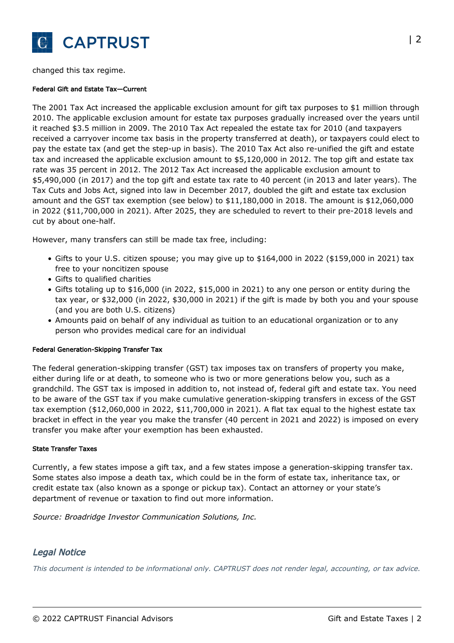

changed this tax regime.

#### Federal Gift and Estate Tax—Current

The 2001 Tax Act increased the applicable exclusion amount for gift tax purposes to \$1 million through 2010. The applicable exclusion amount for estate tax purposes gradually increased over the years until it reached \$3.5 million in 2009. The 2010 Tax Act repealed the estate tax for 2010 (and taxpayers received a carryover income tax basis in the property transferred at death), or taxpayers could elect to pay the estate tax (and get the step-up in basis). The 2010 Tax Act also re-unified the gift and estate tax and increased the applicable exclusion amount to \$5,120,000 in 2012. The top gift and estate tax rate was 35 percent in 2012. The 2012 Tax Act increased the applicable exclusion amount to \$5,490,000 (in 2017) and the top gift and estate tax rate to 40 percent (in 2013 and later years). The Tax Cuts and Jobs Act, signed into law in December 2017, doubled the gift and estate tax exclusion amount and the GST tax exemption (see below) to \$11,180,000 in 2018. The amount is \$12,060,000 in 2022 (\$11,700,000 in 2021). After 2025, they are scheduled to revert to their pre-2018 levels and cut by about one-half.

However, many transfers can still be made tax free, including:

- Gifts to your U.S. citizen spouse; you may give up to \$164,000 in 2022 (\$159,000 in 2021) tax free to your noncitizen spouse
- Gifts to qualified charities
- Gifts totaling up to \$16,000 (in 2022, \$15,000 in 2021) to any one person or entity during the tax year, or \$32,000 (in 2022, \$30,000 in 2021) if the gift is made by both you and your spouse (and you are both U.S. citizens)
- Amounts paid on behalf of any individual as tuition to an educational organization or to any person who provides medical care for an individual

#### Federal Generation-Skipping Transfer Tax

The federal generation-skipping transfer (GST) tax imposes tax on transfers of property you make, either during life or at death, to someone who is two or more generations below you, such as a grandchild. The GST tax is imposed in addition to, not instead of, federal gift and estate tax. You need to be aware of the GST tax if you make cumulative generation-skipping transfers in excess of the GST tax exemption (\$12,060,000 in 2022, \$11,700,000 in 2021). A flat tax equal to the highest estate tax bracket in effect in the year you make the transfer (40 percent in 2021 and 2022) is imposed on every transfer you make after your exemption has been exhausted.

#### State Transfer Taxes

Currently, a few states impose a gift tax, and a few states impose a generation-skipping transfer tax. Some states also impose a death tax, which could be in the form of estate tax, inheritance tax, or credit estate tax (also known as a sponge or pickup tax). Contact an attorney or your state's department of revenue or taxation to find out more information.

Source: Broadridge Investor Communication Solutions, Inc.

# Legal Notice

This document is intended to be informational only. CAPTRUST does not render legal, accounting, or tax advice.